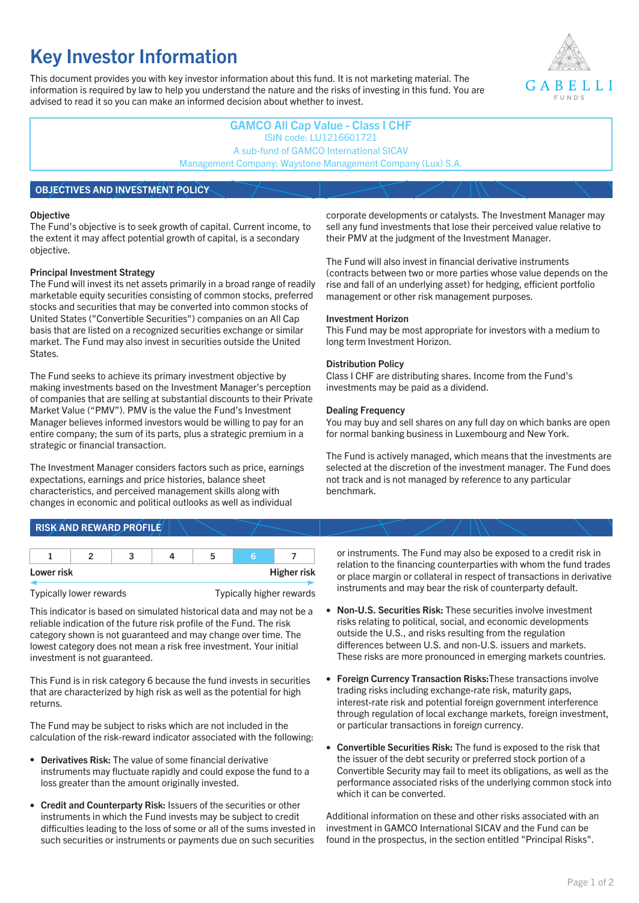# **Key Investor Information**

This document provides you with key investor information about this fund. It is not marketing material. The information is required by law to help you understand the nature and the risks of investing in this fund. You are advised to read it so you can make an informed decision about whether to invest.



# **GAMCO All Cap Value - Class I CHF** ISIN code: LU1216601721 A sub-fund of GAMCO International SICAV Management Company: Waystone Management Company (Lux) S.A.

# **OBJECTIVES AND INVESTMENT POLICY**

#### **Objective**

The Fund's objective is to seek growth of capital. Current income, to the extent it may affect potential growth of capital, is a secondary objective.

## **Principal Investment Strategy**

The Fund will invest its net assets primarily in a broad range of readily marketable equity securities consisting of common stocks, preferred stocks and securities that may be converted into common stocks of United States ("Convertible Securities") companies on an All Cap basis that are listed on a recognized securities exchange or similar market. The Fund may also invest in securities outside the United States.

The Fund seeks to achieve its primary investment objective by making investments based on the Investment Manager's perception of companies that are selling at substantial discounts to their Private Market Value ("PMV"). PMV is the value the Fund's Investment Manager believes informed investors would be willing to pay for an entire company; the sum of its parts, plus a strategic premium in a strategic or financial transaction.

The Investment Manager considers factors such as price, earnings expectations, earnings and price histories, balance sheet characteristics, and perceived management skills along with changes in economic and political outlooks as well as individual

corporate developments or catalysts. The Investment Manager may sell any fund investments that lose their perceived value relative to their PMV at the judgment of the Investment Manager.

The Fund will also invest in financial derivative instruments (contracts between two or more parties whose value depends on the rise and fall of an underlying asset) for hedging, efficient portfolio management or other risk management purposes.

#### **Investment Horizon**

This Fund may be most appropriate for investors with a medium to long term Investment Horizon.

## **Distribution Policy**

Class I CHF are distributing shares. Income from the Fund's investments may be paid as a dividend.

#### **Dealing Frequency**

You may buy and sell shares on any full day on which banks are open for normal banking business in Luxembourg and New York.

The Fund is actively managed, which means that the investments are selected at the discretion of the investment manager. The Fund does not track and is not managed by reference to any particular benchmark.

# **RISK AND REWARD PROFILE**

| Lower risk |  |  | <b>Higher risk</b> |
|------------|--|--|--------------------|

#### Typically lower rewards Typically higher rewards

This indicator is based on simulated historical data and may not be a reliable indication of the future risk profile of the Fund. The risk category shown is not guaranteed and may change over time. The lowest category does not mean a risk free investment. Your initial investment is not guaranteed.

This Fund is in risk category 6 because the fund invests in securities that are characterized by high risk as well as the potential for high returns.

The Fund may be subject to risks which are not included in the calculation of the risk-reward indicator associated with the following:

- **Derivatives Risk:** The value of some financial derivative instruments may fluctuate rapidly and could expose the fund to a loss greater than the amount originally invested.
- **Credit and Counterparty Risk:** Issuers of the securities or other instruments in which the Fund invests may be subject to credit difficulties leading to the loss of some or all of the sums invested in such securities or instruments or payments due on such securities

or instruments. The Fund may also be exposed to a credit risk in relation to the financing counterparties with whom the fund trades or place margin or collateral in respect of transactions in derivative instruments and may bear the risk of counterparty default.

- **Non-U.S. Securities Risk:** These securities involve investment risks relating to political, social, and economic developments outside the U.S., and risks resulting from the regulation differences between U.S. and non-U.S. issuers and markets. These risks are more pronounced in emerging markets countries.
- **Foreign Currency Transaction Risks:**These transactions involve trading risks including exchange-rate risk, maturity gaps, interest-rate risk and potential foreign government interference through regulation of local exchange markets, foreign investment, or particular transactions in foreign currency.
- **Convertible Securities Risk:** The fund is exposed to the risk that the issuer of the debt security or preferred stock portion of a Convertible Security may fail to meet its obligations, as well as the performance associated risks of the underlying common stock into which it can be converted.

Additional information on these and other risks associated with an investment in GAMCO International SICAV and the Fund can be found in the prospectus, in the section entitled "Principal Risks".